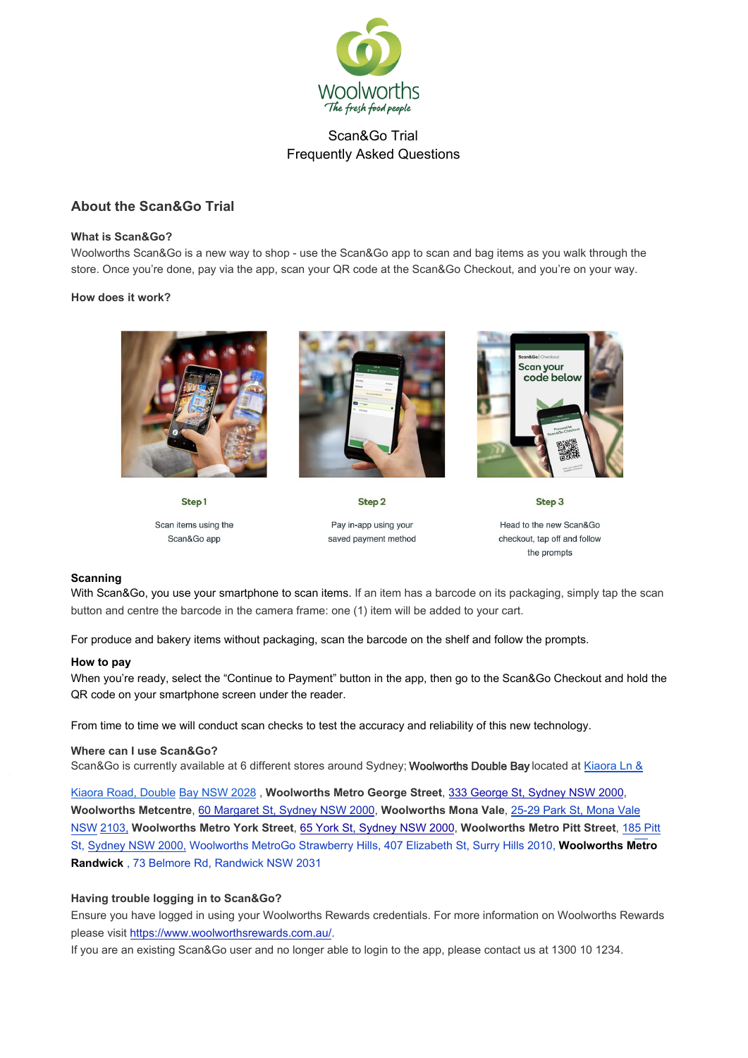

## **About the Scan&Go Trial**

#### **What is Scan&Go?**

Woolworths Scan&Go is a new way to shop - use the Scan&Go app to scan and bag items as you walk through the store. Once you're done, pay via the app, scan your QR code at the Scan&Go Checkout, and you're on your way.

#### **How does it work?**



Step1

Scan items using the Scan&Go app



Step<sub>2</sub> Pay in-app using your saved payment method



Head to the new Scan&Go checkout, tap off and follow the prompts

Step<sub>3</sub>

#### **Scanning**

With Scan&Go, you use your smartphone to scan items. If an item has a barcode on its packaging, simply tap the scan button and centre the barcode in the camera frame: one (1) item will be added to your cart.

For produce and bakery items without packaging, scan the barcode on the shelf and follow the prompts.

#### **How to pay**

When you're ready, select the "Continue to Payment" button in the app, then go to the Scan&Go Checkout and hold the QR code on your smartphone screen under the reader.

From time to time we will conduct scan checks to test the accuracy and reliability of this new technology.

#### **Where can I use Scan&Go?**

Scan&Go is currently available at 6 different stores around Sydney; Woolworths Double Bay [located at Kiaora Ln &](https://www.google.com.au/maps/dir/)

Kiaora Road, Double [Bay NSW 2028](https://www.google.com.au/maps/dir/) , **Woolworths Metro George Street**, [333 George St, Sydney NSW 2000](https://www.google.com.au/maps/dir//Woolworths+George+Street,+333+George+St,+Sydney+NSW+2000/@-33.8696724,151.2032003,15.95z/data=!4m9!4m8!1m0!1m5!1m1!1s0x6b12af295ce6e0cf:0x1085f57f8be105ed!2m2!1d151.206843!2d-33.866818!3e3), **Woolworths Metcentre**[, 60 Margaret St, Sydney NSW 2000,](https://www.google.com.au/maps/dir//Woolworths+Mona+Vale,+25-29+Park+St,+Mona+Vale+NSW+2103/@-33.6755243,151.2672061,13z/data=!3m1!4b1!4m9!4m8!1m0!1m5!1m1!1s0x6b0d5498626d658b:0xb8eea90929f212b4!2m2!1d151.3022255!2d-33.6756007!3e3) **Woolworths Mona Vale**, 25-29 Park St, Mona Vale NSW 2103, **Woolworths Metro York Street**, [65 York St, Sydney NSW 2000](https://www.google.com.au/maps/dir//Woolworths+York+(Metro),+65+York+St,+Sydney+NSW+2000/@-33.8678138,151.1707737,13z/data=!3m1!4b1!4m9!4m8!1m0!1m5!1m1!1s0x6b12ae40a03bed95:0x624a5db1cadf99cd!2m2!1d151.2057932!2d-33.8678188!3e3), **Woolworths Metro Pitt Street**, 185 Pitt St, Sydney NSW 2000, [Woolworths MetroGo Strawberry Hills, 407 Elizabeth St, Surry Hills 2010](https://www.google.com.au/maps/dir//Woolworths+Metro,+185+Pitt+St,+Sydney+NSW+2000/@-33.8691507,151.2059274,17z/data=!4m16!1m6!3m5!1s0x6b12af663ab46239:0xd8b01780b4e38680!2sWoolworths+Metro!8m2!3d-33.8691507!4d151.2081161!4m8!1m0!1m5!1m1!1s0x6b12af663ab46239:0xd8b01780b4e38680!2m2!1d151.2081161!2d-33.8691507!3e3), **Woolworths Metro Randwick** , 73 Belmore Rd, Randwick NSW 2031

#### **Having trouble logging in to Scan&Go?**

Ensure you have logged in using your Woolworths Rewards credentials. For more information on Woolworths Rewards please visit https://www.woolworthsrewards.com.au/.

If you are an existing Scan&Go user and no longer able to login to the app, please contact us at 1300 10 1234.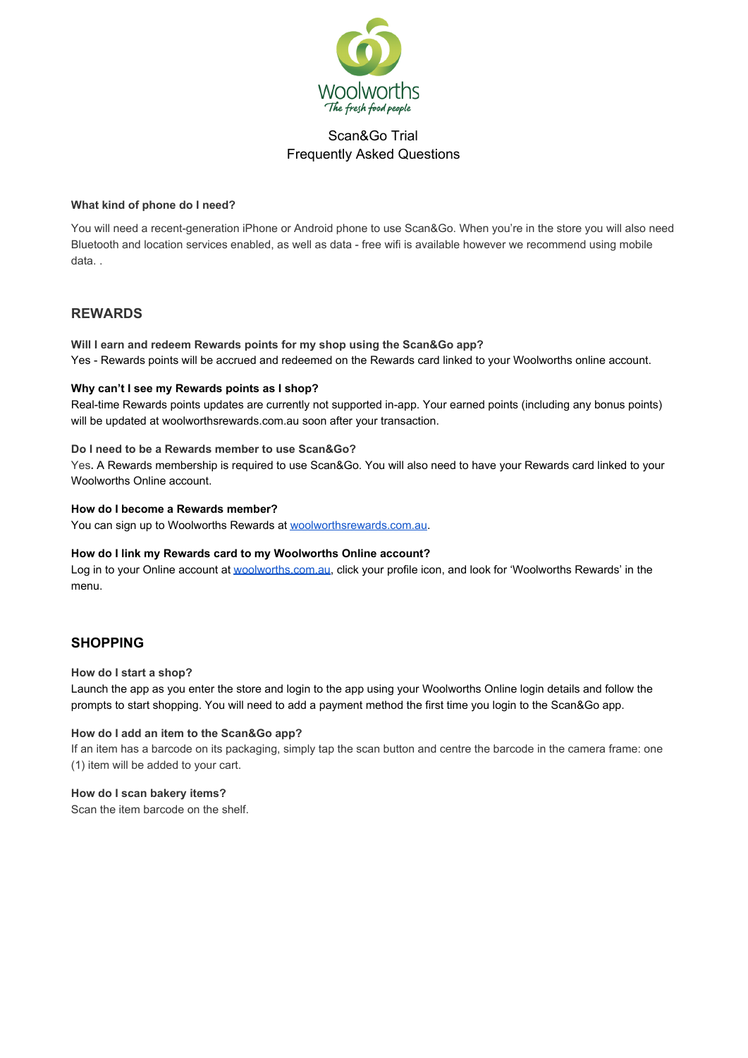

#### **What kind of phone do I need?**

You will need a recent-generation iPhone or Android phone to use Scan&Go. When you're in the store you will also need Bluetooth and location services enabled, as well as data - free wifi is available however we recommend using mobile data. .

## **REWARDS**

**Will I earn and redeem Rewards points for my shop using the Scan&Go app?** Yes - Rewards points will be accrued and redeemed on the Rewards card linked to your Woolworths online account.

## **Why can't I see my Rewards points as I shop?**

Real-time Rewards points updates are currently not supported in-app. Your earned points (including any bonus points) will be updated at woolworthsrewards.com.au soon after your transaction.

#### **Do I need to be a Rewards member to use Scan&Go?**

Yes**.** A Rewards membership is required to use Scan&Go. You will also need to have your Rewards card linked to your Woolworths Online account.

#### **How do I become a Rewards member?**

You can sign up to Woolworths Rewards at [woolworthsrewards.com.au.](https://www.woolworthsrewards.com.au/)

#### **How do I link my Rewards card to my Woolworths Online account?**

Log in to your Online account at [woolworths.com.au](https://www.woolworths.com.au/Shop/MyAccount/WoolworthsRewards), click your profile icon, and look for 'Woolworths Rewards' in the menu.

# **SHOPPING**

#### **How do I start a shop?**

Launch the app as you enter the store and login to the app using your Woolworths Online login details and follow the prompts to start shopping. You will need to add a payment method the first time you login to the Scan&Go app.

#### **How do I add an item to the Scan&Go app?**

If an item has a barcode on its packaging, simply tap the scan button and centre the barcode in the camera frame: one (1) item will be added to your cart.

#### **How do I scan bakery items?**

Scan the item barcode on the shelf.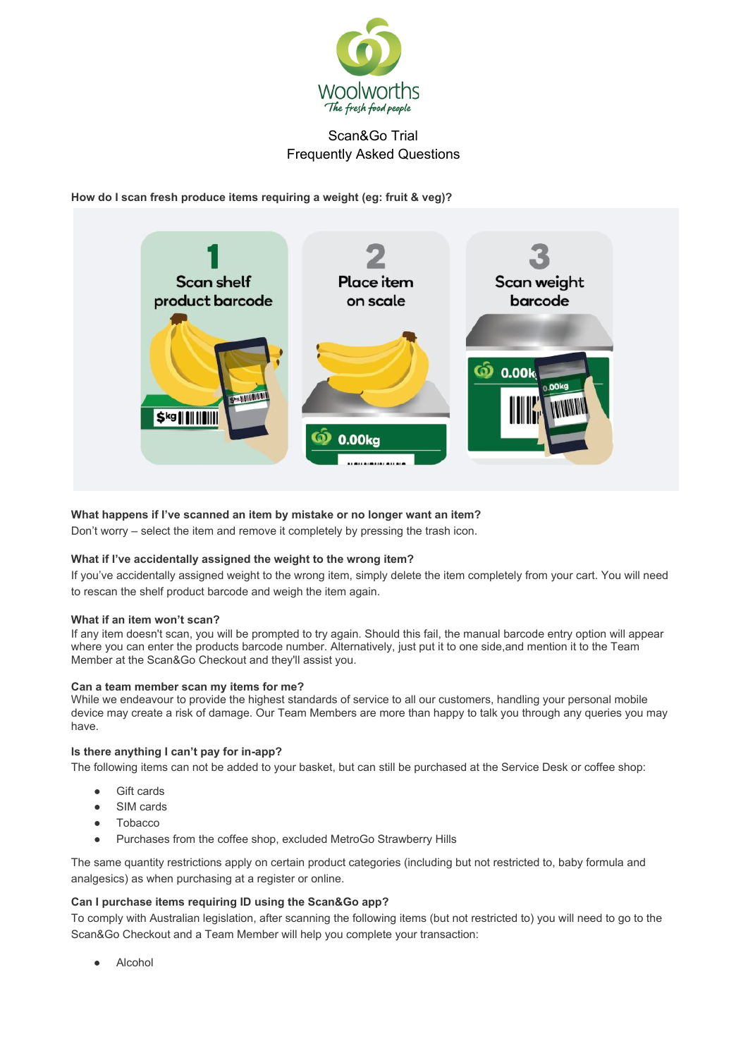

**How do I scan fresh produce items requiring a weight (eg: fruit & veg)?**



## **What happens if I've scanned an item by mistake or no longer want an item?**

Don't worry – select the item and remove it completely by pressing the trash icon.

#### **What if I've accidentally assigned the weight to the wrong item?**

If you've accidentally assigned weight to the wrong item, simply delete the item completely from your cart. You will need to rescan the shelf product barcode and weigh the item again.

#### **What if an item won't scan?**

If any item doesn't scan, you will be prompted to try again. Should this fail, the manual barcode entry option will appear where you can enter the products barcode number. Alternatively, just put it to one side,and mention it to the Team Member at the Scan&Go Checkout and they'll assist you.

#### **Can a team member scan my items for me?**

While we endeavour to provide the highest standards of service to all our customers, handling your personal mobile device may create a risk of damage. Our Team Members are more than happy to talk you through any queries you may have.

#### **Is there anything I can't pay for in-app?**

The following items can not be added to your basket, but can still be purchased at the Service Desk or coffee shop:

- Gift cards
- SIM cards
- Tobacco
- Purchases from the coffee shop, excluded MetroGo Strawberry Hills

The same quantity restrictions apply on certain product categories (including but not restricted to, baby formula and analgesics) as when purchasing at a register or online.

#### **Can I purchase items requiring ID using the Scan&Go app?**

To comply with Australian legislation, after scanning the following items (but not restricted to) you will need to go to the Scan&Go Checkout and a Team Member will help you complete your transaction:

Alcohol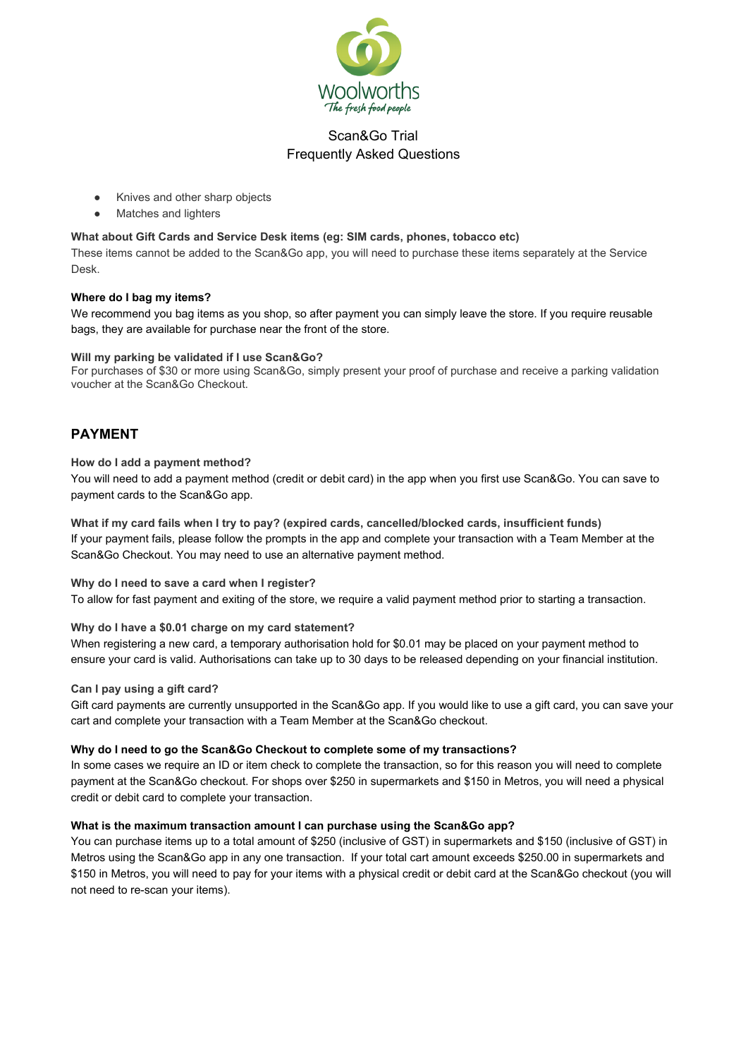

- Knives and other sharp objects
- Matches and lighters

## **What about Gift Cards and Service Desk items (eg: SIM cards, phones, tobacco etc)**

These items cannot be added to the Scan&Go app, you will need to purchase these items separately at the Service Desk.

#### **Where do I bag my items?**

We recommend you bag items as you shop, so after payment you can simply leave the store. If you require reusable bags, they are available for purchase near the front of the store.

#### **Will my parking be validated if I use Scan&Go?**

For purchases of \$30 or more using Scan&Go, simply present your proof of purchase and receive a parking validation voucher at the Scan&Go Checkout.

# **PAYMENT**

#### **How do I add a payment method?**

You will need to add a payment method (credit or debit card) in the app when you first use Scan&Go. You can save to payment cards to the Scan&Go app.

What if my card fails when I try to pay? (expired cards, cancelled/blocked cards, insufficient funds) If your payment fails, please follow the prompts in the app and complete your transaction with a Team Member at the Scan&Go Checkout. You may need to use an alternative payment method.

**Why do I need to save a card when I register?** To allow for fast payment and exiting of the store, we require a valid payment method prior to starting a transaction.

#### **Why do I have a \$0.01 charge on my card statement?**

When registering a new card, a temporary authorisation hold for \$0.01 may be placed on your payment method to ensure your card is valid. Authorisations can take up to 30 days to be released depending on your financial institution.

## **Can I pay using a gift card?**

Gift card payments are currently unsupported in the Scan&Go app. If you would like to use a gift card, you can save your cart and complete your transaction with a Team Member at the Scan&Go checkout.

#### **Why do I need to go the Scan&Go Checkout to complete some of my transactions?**

In some cases we require an ID or item check to complete the transaction, so for this reason you will need to complete payment at the Scan&Go checkout. For shops over \$250 in supermarkets and \$150 in Metros, you will need a physical credit or debit card to complete your transaction.

#### **What is the maximum transaction amount I can purchase using the Scan&Go app?**

You can purchase items up to a total amount of \$250 (inclusive of GST) in supermarkets and \$150 (inclusive of GST) in Metros using the Scan&Go app in any one transaction. If your total cart amount exceeds \$250.00 in supermarkets and \$150 in Metros, you will need to pay for your items with a physical credit or debit card at the Scan&Go checkout (you will not need to re-scan your items).